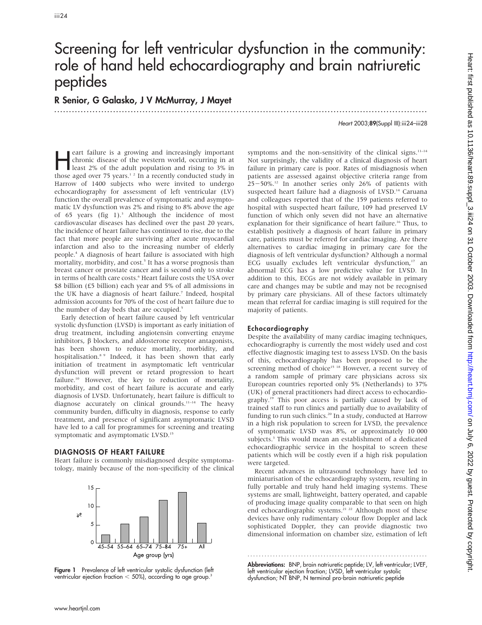# Screening for left ventricular dysfunction in the community: role of hand held echocardiography and brain natriuretic peptides

.............................................................................................................................. .

R Senior, G Galasko, J V McMurray, J Mayet

Heart 2003;89(Suppl III):iii24–iii28

eart failure is a growing and increasingly important<br>chronic disease of the western world, occurring in at<br>least 2% of the adult population and rising to 3% in<br>those aged over 75 years<sup>12</sup> In a recently conducted study in chronic disease of the western world, occurring in at those aged over 75 years.<sup>12</sup> In a recently conducted study in Harrow of 1400 subjects who were invited to undergo echocardiography for assessment of left ventricular (LV) function the overall prevalence of symptomatic and asymptomatic LV dysfunction was 2% and rising to 8% above the age of 65 years (fig 1).<sup>3</sup> Although the incidence of most cardiovascular diseases has declined over the past 20 years, the incidence of heart failure has continued to rise, due to the fact that more people are surviving after acute myocardial infarction and also to the increasing number of elderly people.4 A diagnosis of heart failure is associated with high mortality, morbidity, and cost.<sup>5</sup> It has a worse prognosis than breast cancer or prostate cancer and is second only to stroke in terms of health care costs.<sup>6</sup> Heart failure costs the USA over \$8 billion (£5 billion) each year and 5% of all admissions in the UK have a diagnosis of heart failure.<sup>7</sup> Indeed, hospital admission accounts for 70% of the cost of heart failure due to the number of day beds that are occupied.<sup>5</sup>

Early detection of heart failure caused by left ventricular systolic dysfunction (LVSD) is important as early initiation of drug treatment, including angiotensin converting enzyme inhibitors,  $\beta$  blockers, and aldosterone receptor antagonists, has been shown to reduce mortality, morbidity, and hospitalisation.8 9 Indeed, it has been shown that early initiation of treatment in asymptomatic left ventricular dysfunction will prevent or retard progression to heart failure.<sup>10</sup> However, the key to reduction of mortality, morbidity, and cost of heart failure is accurate and early diagnosis of LVSD. Unfortunately, heart failure is difficult to diagnose accurately on clinical grounds.<sup>11-14</sup> The heavy community burden, difficulty in diagnosis, response to early treatment, and presence of significant asymptomatic LVSD have led to a call for programmes for screening and treating symptomatic and asymptomatic LVSD.<sup>15</sup>

### DIAGNOSIS OF HEART FAILURE

Heart failure is commonly misdiagnosed despite symptomatology, mainly because of the non-specificity of the clinical



Figure 1 Prevalence of left ventricular systolic dysfunction (left ventricular ejection fraction  $<$  50%), according to age group.<sup>3</sup>

symptoms and the non-sensitivity of the clinical signs. $11-14$ Not surprisingly, the validity of a clinical diagnosis of heart failure in primary care is poor. Rates of misdiagnosis when patients are assessed against objective criteria range from  $25-50\%$ .<sup>12</sup> In another series only 26% of patients with suspected heart failure had a diagnosis of LVSD.<sup>14</sup> Caruana and colleagues reported that of the 159 patients referred to hospital with suspected heart failure, 109 had preserved LV function of which only seven did not have an alternative explanation for their significance of heart failure.<sup>16</sup> Thus, to establish positively a diagnosis of heart failure in primary care, patients must be referred for cardiac imaging. Are there alternatives to cardiac imaging in primary care for the diagnosis of left ventricular dysfunction? Although a normal ECG usually excludes left ventricular dysfunction,<sup>17</sup> an abnormal ECG has a low predictive value for LVSD. In addition to this, ECGs are not widely available in primary care and changes may be subtle and may not be recognised by primary care physicians. All of these factors ultimately mean that referral for cardiac imaging is still required for the majority of patients.

## Echocardiography

Despite the availability of many cardiac imaging techniques, echocardiography is currently the most widely used and cost effective diagnostic imaging test to assess LVSD. On the basis of this, echocardiography has been proposed to be the screening method of choice<sup>15 18</sup> However, a recent survey of a random sample of primary care physicians across six European countries reported only 5% (Netherlands) to 37% (UK) of general practitioners had direct access to echocardiography.19 This poor access is partially caused by lack of trained staff to run clinics and partially due to availability of funding to run such clinics.<sup>20</sup> In a study, conducted at Harrow in a high risk population to screen for LVSD, the prevalence of symptomatic LVSD was 8%, or approximately 10 000 subjects.<sup>3</sup> This would mean an establishment of a dedicated echocardiographic service in the hospital to screen these patients which will be costly even if a high risk population were targeted.

Recent advances in ultrasound technology have led to miniaturisation of the echocardiography system, resulting in fully portable and truly hand held imaging systems. These systems are small, lightweight, battery operated, and capable of producing image quality comparable to that seen on high end echocardiographic systems.<sup>21</sup> <sup>22</sup> Although most of these devices have only rudimentary colour flow Doppler and lack sophisticated Doppler, they can provide diagnostic two dimensional information on chamber size, estimation of left

............................................................... . Abbreviations: BNP, brain natriuretic peptide; LV, left ventricular; LVEF, left ventricular ejection fraction; LVSD, left ventricular systolic dysfunction; NT BNP, N terminal pro-brain natriuretic peptide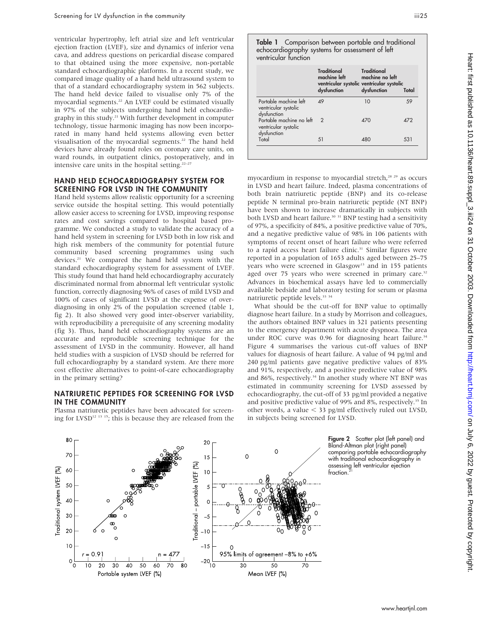ventricular hypertrophy, left atrial size and left ventricular ejection fraction (LVEF), size and dynamics of inferior vena cava, and address questions on pericardial disease compared to that obtained using the more expensive, non-portable standard echocardiographic platforms. In a recent study, we compared image quality of a hand held ultrasound system to that of a standard echocardiography system in 562 subjects. The hand held device failed to visualise only 7% of the myocardial segments.22 An LVEF could be estimated visually in 97% of the subjects undergoing hand held echocardiography in this study.21 With further development in computer technology, tissue harmonic imaging has now been incorporated in many hand held systems allowing even better visualisation of the myocardial segments.<sup>22</sup> The hand held devices have already found roles on coronary care units, on ward rounds, in outpatient clinics, postoperatively, and in intensive care units in the hospital setting.<sup>22–27</sup>

#### HAND HELD ECHOCARDIOGRAPHY SYSTEM FOR SCREENING FOR LVSD IN THE COMMUNITY

Hand held systems allow realistic opportunity for a screening service outside the hospital setting. This would potentially allow easier access to screening for LVSD, improving response rates and cost savings compared to hospital based programme. We conducted a study to validate the accuracy of a hand held system in screening for LVSD both in low risk and high risk members of the community for potential future community based screening programmes using such devices.21 We compared the hand held system with the standard echocardiography system for assessment of LVEF. This study found that hand held echocardiography accurately discriminated normal from abnormal left ventricular systolic function, correctly diagnosing 96% of cases of mild LVSD and 100% of cases of significant LVSD at the expense of overdiagnosing in only 2% of the population screened (table 1, fig 2). It also showed very good inter-observer variability, with reproducibility a prerequisite of any screening modality (fig 3). Thus, hand held echocardiography systems are an accurate and reproducible screening technique for the assessment of LVSD in the community. However, all hand held studies with a suspicion of LVSD should be referred for full echocardiography by a standard system. Are there more cost effective alternatives to point-of-care echocardiography in the primary setting?

#### NATRIURETIC PEPTIDES FOR SCREENING FOR LVSD IN THE COMMUNITY

Plasma natriuretic peptides have been advocated for screening for LVSD12 13 15; this is because they are released from the Table 1 Comparison between portable and traditional echocardiography systems for assessment of left ventricular function

|                                                                 | Traditional<br>machine left<br>ventricular systolic ventricular systolic<br>dysfunction | <b>Traditional</b><br>machine no left<br>dysfunction | Total      |
|-----------------------------------------------------------------|-----------------------------------------------------------------------------------------|------------------------------------------------------|------------|
| Portable machine left<br>ventricular systolic<br>dysfunction    | 49                                                                                      | 10                                                   | 59         |
| Portable machine no left<br>ventricular systolic<br>dysfunction | $\overline{2}$                                                                          | 470                                                  | <b>472</b> |
| Total                                                           | 51                                                                                      | 480                                                  | 531        |

myocardium in response to myocardial stretch,<sup>28</sup> <sup>29</sup> as occurs in LVSD and heart failure. Indeed, plasma concentrations of both brain natriuretic peptide (BNP) and its co-release peptide N terminal pro-brain natriuretic peptide (NT BNP) have been shown to increase dramatically in subjects with both LVSD and heart failure.<sup>30</sup> <sup>31</sup> BNP testing had a sensitivity of 97%, a specificity of 84%, a positive predictive value of 70%, and a negative predictive value of 98% in 106 patients with symptoms of recent onset of heart failure who were referred to a rapid access heart failure clinic.<sup>31</sup> Similar figures were reported in a population of 1653 adults aged between 25–75 years who were screened in Glasgow<sup>13</sup> and in 155 patients aged over 75 years who were screened in primary care.<sup>32</sup> Advances in biochemical assays have led to commercially available bedside and laboratory testing for serum or plasma natriuretic peptide levels.<sup>33</sup> 34

What should be the cut-off for BNP value to optimally diagnose heart failure. In a study by Morrison and colleagues, the authors obtained BNP values in 321 patients presenting to the emergency department with acute dyspnoea. The area under ROC curve was 0.96 for diagnosing heart failure.<sup>34</sup> Figure 4 summarises the various cut-off values of BNP values for diagnosis of heart failure. A value of 94 pg/ml and 240 pg/ml patients gave negative predictive values of 83% and 91%, respectively, and a positive predictive value of 98% and 86%, respectively.<sup>34</sup> In another study where NT BNP was estimated in community screening for LVSD assessed by echocardiography, the cut-off of 33 pg/ml provided a negative and positive predictive value of 99% and 8%, respectively.<sup>35</sup> In other words, a value  $<$  33 pg/ml effectively ruled out LVSD, in subjects being screened for LVSD.



Figure 2 Scatter plot (left panel) and Bland-Altman plot (right panel) comparing portable echocardiography with traditional echocardiography in assessing left ventricular ejection fraction.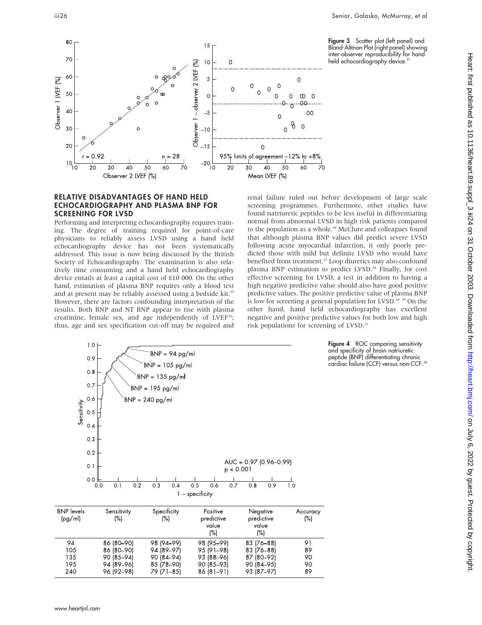



## RELATIVE DISADVANTAGES OF HAND HELD ECHOCARDIOGRAPHY AND PLASMA BNP FOR SCREENING FOR LVSD

Performing and interpreting echocardiography requires training. The degree of training required for point-of-care physicians to reliably assess LVSD using a hand held echocardiography device has not been systematically addressed. This issue is now being discussed by the British Society of Echocardiography. The examination is also relatively time consuming and a hand held echocardiography device entails at least a capital cost of £10 000. On the other hand, estimation of plasma BNP requires only a blood test and at present may be reliably assessed using a bedside kit.<sup>35</sup> However, there are factors confounding interpretation of the results. Both BNP and NT BNP appear to rise with plasma creatinine, female sex, and age independently of LVEF<sup>36</sup>; thus, age and sex specification cut-off may be required and

 $1.0$ 

renal failure ruled out before development of large scale screening programmes. Furthermore, other studies have found natriuretic peptides to be less useful in differentiating normal from abnormal LVSD in high risk patients compared to the population as a whole.<sup>39</sup> McClure and colleagues found that although plasma BNP values did predict severe LVSD following acute myocardial infarction, it only poorly predicted those with mild but definite LVSD who would have benefited from treatment.<sup>37</sup> Loop diuretics may also confound plasma BNP estimation to predict LVSD.<sup>38</sup> Finally, for cost effective screening for LVSD, a test in addition to having a high negative predictive value should also have good positive predictive values. The positive predictive value of plasma BNP is low for screening a general population for LVSD.<sup>35</sup> <sup>39</sup> On the other hand, hand held echocardiography has excellent negative and positive predictive values for both low and high risk populations for screening of LVSD.<sup>21</sup>

> Figure 4 ROC comparing sensitivity and specificity of brain natriuretic peptide (BNP) differentiating chronic cardiac failure (CCF) versus non-CCF.<sup>34</sup>

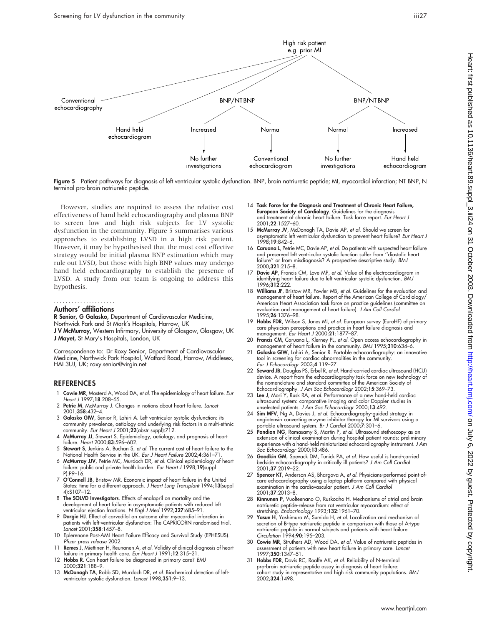

However, studies are required to assess the relative cost effectiveness of hand held echocardiography and plasma BNP to screen low and high risk subjects for LV systolic dysfunction in the community. Figure 5 summarises various approaches to establishing LVSD in a high risk patient. However, it may be hypothesised that the most cost effective strategy would be initial plasma BNP estimation which may rule out LVSD, but those with high BNP values may undergo hand held echocardiography to establish the presence of LVSD. A study from our team is ongoing to address this hypothesis.

#### Authors' affiliations .....................

Conventional

R Senior, G Galasko, Department of Cardiovascular Medicine, Northwick Park and St Mark's Hospitals, Harrow, UK

J V McMurray, Western Infirmary, University of Glasgow, Glasgow, UK J Mayet, St Mary's Hospitals, London, UK

Correspondence to: Dr Roxy Senior, Department of Cardiovascular Medicine, Northwick Park Hospital, Watford Road, Harrow, Middlesex, HAI 3UJ, UK; roxy.senior@virgin.net

## **REFERENCES**

- 1 Cowie MR, Mosterd A, Wood DA, et al. The epidemiology of heart failure. Eur Heart J 1997;18:208–55.
- 2 Petrie M, McMurray J. Changes in notions about heart failure. Lancet 2001;358:432–4.
- 3 Galasko GIW, Senior R, Lahiri A. Left ventricular systolic dysfunction: its community prevalence, aetiology and underlying risk factors in a multi-ethnic community. Eur Heart J 2001;22(abstr suppl):712.
- 4 McMurray JJ, Stewart S. Epidemiology, aetiology, and prognosis of heart failure. Heart 2000;83:596–602.
- 5 Stewart S, Jenkins A, Buchan S, et al. The current cost of heart failure to the National Health Service in the UK. Eur J Heart Failure 2002;4:361–71.
- 6 McMurray JJV, Petrie MC, Murdoch DR, et al. Clinical epidemiology of heart failure: public and private health burden. Eur Heart J 1998;19(suppl P):P9–16.
- 7 O'Connell JB, Bristow MR. Economic impact of heart failure in the United States: time for a different approach. J Heart Lung Transplant 1994;13(suppl 4):S107–12.
- 8 The SOLVD Investigators. Effects of enalapril on mortality and the development of heart failure in asymptomatic patients with reduced left<br>ventricular ejection fractions. N Engl J Med 1992;**327**:685–91.
- 9 Dargie HJ. Effect of carvedilol on outcome after myocardial infarction in patients with left-ventricular dysfunction: The CAPRICORN randomised trial. Lancet 2001;358:1457–8.
- 10 Eplerenone Post-AMI Heart Failure Efficacy and Survival Study (EPHESUS). Pfizer press release 2002.
- Remes J, Miettinen H, Reunanen A, et al. Validity of clinical diagnosis of heart failure in primary health care. Eur Heart J 1991; 12:315-21.
- 12 Hobbs R. Can heart failure be diagnosed in primary care? BMJ 2000;321:188–9.
- 13 McDonagh TA, Robb SD, Murdoch DR, et al. Biochemical detection of leftventricular systolic dysfunction. Lancet 1998;351:9-13.
- 14 Task Force for the Diagnosis and Treatment of Chronic Heart Failure, European Society of Cardiology. Guidelines for the diagnosis and treatment of chronic heart tailure. Task torce report. *Eur Heart J*<br>2001;**22**:1527–60.
- 15 McMurray JV, McDonagh TA, Davie AP, et al. Should we screen for asymptomatic left ventricular dysfunction to prevent heart failure? Eur Heart J 1998;19:842–6.
- 16 Caruana L, Petrie MC, Davie AP, et al. Do patients with suspected heart failure and preserved left ventricular systolic function suffer from ''diastolic heart failure'' or from misdiagnosis? A prospective descriptive study. BMJ 2000;321:215–8.
- 17 Davie AP, Francis CM, Love MP, et al. Value of the electrocardiogram in identifying heart failure due to left ventricular systolic dysfunction. BM.<br>1996;**312**:222.
- 18 Williams JF, Bristow MR, Fowler MB, et al. Guidelines for the evaluation and management of heart failure. Report of the American College of Cardiology/ American Heart Association task force on practice guidelines (committee on evaluation and management of heart failure). J Am Coll Cardiol 1995;26:1376–98.
- 19 Hobbs FDR, Wilson S, Jones MI, et al. European survey (EuroHF) of primary care physician perceptions and practice in heart failure diagnosis and management. Eur Heart J 2000;21:1877–87.
- 20 Francis CM, Caruana L, Klerney PL, et al. Open access echocardiography in management of heart failure in the community. BMJ 1995;310:634-6.
- 21 Galasko GIW, Lahiri A, Senior R. Portable echocardiography: an innovative tool in screening for cardiac abnormalities in the community. Eur J Echocardiogr 2003;4:119–27.
- 22 Seward JB, Douglas PS, Erbel R, et al. Hand-carried cardiac ultrasound (HCU) device. A report from the echocardiography task force on new technology of the nomenclature and standard committee of the American Society of Echocardiography. J Am Soc Echocardiogr 2002;15:369–73.
- 23 Lee J, Mori Y, Rusk RA, et al. Performance of a new hand-held cardiac ultrasound system: comparative imaging and color Doppler studies in unselected patients. J Am Soc Echocardiogr 2000;13:492.
- 24 Sim MFV, Ng A, Davies J, et al. Echocardiography-guided strategy in angiotensin converting enzyme inhibitor therapy for MI survivors using a<br>portable ultrasound system. *Br J Cardiol* 2000;7:301–6.<br>25 **Pandian NG**, Ramasamy S, Martin P, et al. Ultrasound stethoscopy as an
- extension of clinical examination during hospital patient rounds: preliminary experience with a hand-held miniaturized echocardiography instrument. J Am Soc Echocardiogr 2000;13:486.
- 26 Goodkin GM, Spevack DM, Tunick PA, et al. How useful is hand-carried bedside echocardiography in critically ill patients? J Am Coll Cardiol 2001;37:2019–22.
- 27 Spencer KT, Anderson AS, Bhargava A, et al. Physicians-performed point-ofcare echocardiography using a laptop platform compared with physical examination in the cardiovascular patient. J Am Coll Cardiol 2001;37:2013–8.
- 28 Kinnunen P, Vuolteenano O, Ruskoaho H. Mechanisms of atrial and brain natriuretic peptide-release from rat ventricular myocardium: effect of stretching. Endocrinology 1993;132:1961–70.
- 29 Yasue H, Yoshimura M, Sumida H, et al. Localization and mechanism of secretion of B-type natriuretic peptide in comparison with those of A-type natriuretic peptide in normal subjects and patients with heart failure. Circulation 1994;90:195–203.
- 30 Cowie MR, Struthers AD, Wood DA, et al. Value of natriuretic peptides in assessment of patients with new heart failure in primary care. Lancet 1997;350:1347–51.
- 31 Hobbs FDR, Davis RC, Roalfe AK, et al. Reliability of N-terminal pro-brain natriuretic peptide assay in diagnosis of heart failure: cohort study in representative and high risk community populations. BMJ 2002;324:1498.